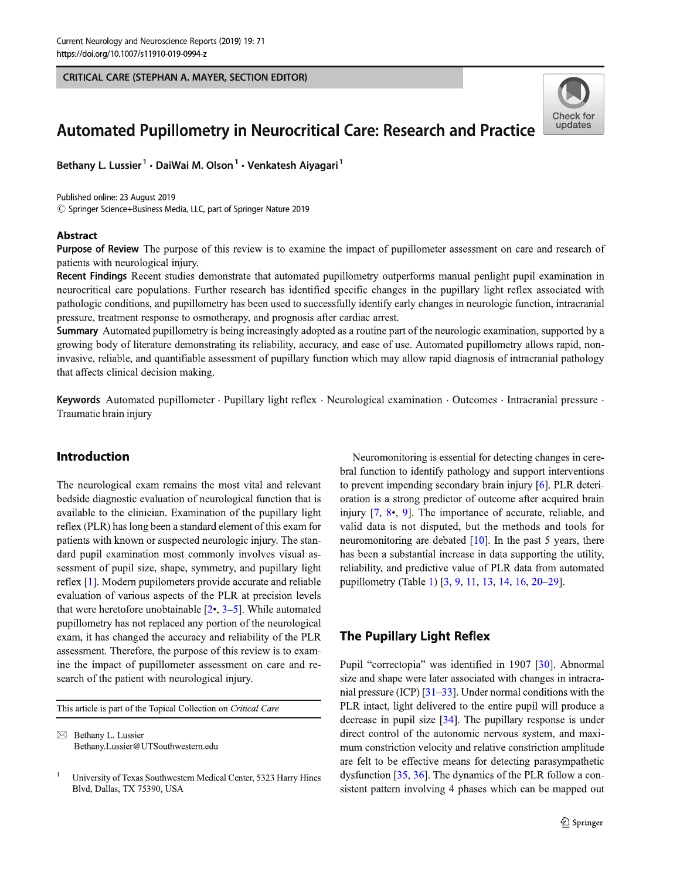**CRITICAL CARE (STEPHAN A. MAYER, SECTION EDITOR)** 



# **Automated Pupillometry in Neurocritical Care: Research and Practice**

Bethany L. Lussier<sup>1</sup> · DaiWai M. Olson<sup>1</sup> · Venkatesh Aiyagari<sup>1</sup>

Published online: 23 August 2019 © Springer Science+Business Media, LLC, part of Springer Nature 2019

#### **Abstract**

**Purpose of Review** The purpose of this review is to examine the impact of pupillometer assessment on care and research of patients with neurological injury.

Recent Findings Recent studies demonstrate that automated pupillometry outperforms manual penlight pupil examination in neurocritical care populations. Further research has identified specific changes in the pupillary light reflex associated with pathologic conditions, and pupillometry has been used to successfully identify early changes in neurologic function, intracranial pressure, treatment response to osmotherapy, and prognosis after cardiac arrest.

**Summary** Automated pupillometry is being increasingly adopted as a routine part of the neurologic examination, supported by a growing body of literature demonstrating its reliability, accuracy, and ease of use. Automated pupillometry allows rapid, noninvasive, reliable, and quantifiable assessment of pupillary function which may allow rapid diagnosis of intracranial pathology that affects clinical decision making.

Keywords Automated pupillometer · Pupillary light reflex · Neurological examination · Outcomes · Intracranial pressure · Traumatic brain injury

# **Introduction**

The neurological exam remains the most vital and relevant bedside diagnostic evaluation of neurological function that is available to the clinician. Examination of the pupillary light reflex (PLR) has long been a standard element of this exam for patients with known or suspected neurologic injury. The standard pupil examination most commonly involves visual assessment of pupil size, shape, symmetry, and pupillary light reflex [1]. Modern pupilometers provide accurate and reliable evaluation of various aspects of the PLR at precision levels that were heretofore unobtainable  $[2\bullet, 3-5]$ . While automated pupillometry has not replaced any portion of the neurological exam, it has changed the accuracy and reliability of the PLR assessment. Therefore, the purpose of this review is to examine the impact of pupillometer assessment on care and research of the patient with neurological injury.

This article is part of the Topical Collection on Critical Care

 $\boxtimes$  Bethany L. Lussier Bethany.Lussier@UTSouthwestern.edu

Neuromonitoring is essential for detecting changes in cerebral function to identify pathology and support interventions to prevent impending secondary brain injury  $[6]$ . PLR deterioration is a strong predictor of outcome after acquired brain injury [7, 8•, 9]. The importance of accurate, reliable, and valid data is not disputed, but the methods and tools for neuromonitoring are debated  $[10]$ . In the past 5 years, there has been a substantial increase in data supporting the utility, reliability, and predictive value of PLR data from automated pupillometry (Table 1) [3, 9, 11, 13, 14, 16, 20–29].

# **The Pupillary Light Reflex**

Pupil "correctopia" was identified in 1907 [30]. Abnormal size and shape were later associated with changes in intracranial pressure (ICP)  $\lceil 31-33 \rceil$ . Under normal conditions with the PLR intact, light delivered to the entire pupil will produce a decrease in pupil size  $[34]$ . The pupillary response is under direct control of the autonomic nervous system, and maximum constriction velocity and relative constriction amplitude are felt to be effective means for detecting parasympathetic dysfunction  $[35, 36]$ . The dynamics of the PLR follow a consistent pattern involving 4 phases which can be mapped out

 $\mathbf{1}$ University of Texas Southwestern Medical Center, 5323 Harry Hines Blvd, Dallas, TX 75390, USA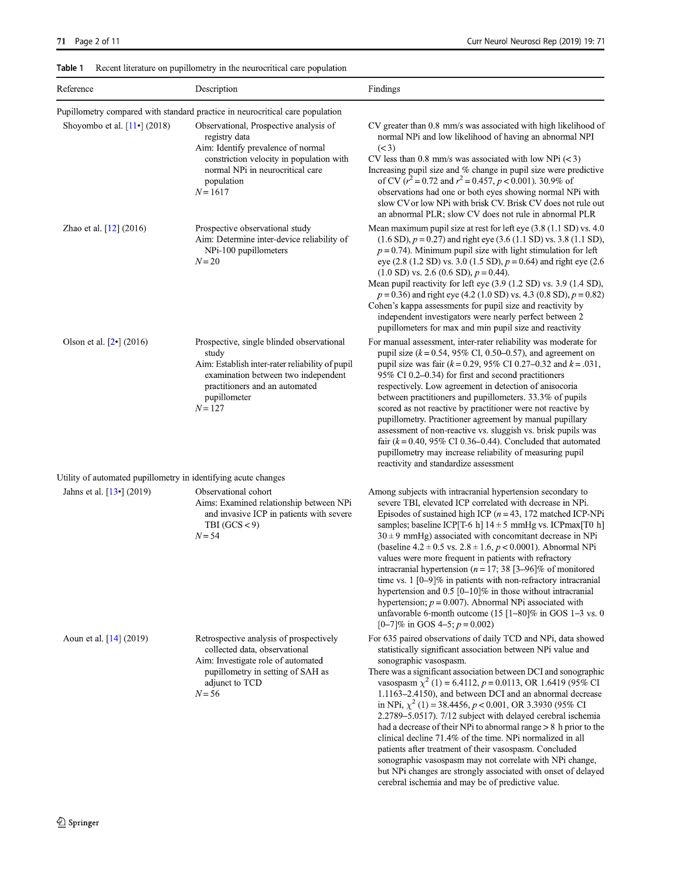| Reference                             | Description                                                                                                                                                                                               | Findings                                                                                                                                                                                                                                                                                                                                                                                                                                                                                                                                                                                                                                                                           |
|---------------------------------------|-----------------------------------------------------------------------------------------------------------------------------------------------------------------------------------------------------------|------------------------------------------------------------------------------------------------------------------------------------------------------------------------------------------------------------------------------------------------------------------------------------------------------------------------------------------------------------------------------------------------------------------------------------------------------------------------------------------------------------------------------------------------------------------------------------------------------------------------------------------------------------------------------------|
|                                       | Pupillometry compared with standard practice in neurocritical care population                                                                                                                             |                                                                                                                                                                                                                                                                                                                                                                                                                                                                                                                                                                                                                                                                                    |
| Shoyombo et al. $[11 \bullet] (2018)$ | Observational, Prospective analysis of<br>registry data<br>Aim: Identify prevalence of normal<br>constriction velocity in population with<br>normal NPi in neurocritical care<br>population<br>$N = 1617$ | CV greater than 0.8 mm/s was associated with high likelihood of<br>normal NPi and low likelihood of having an abnormal NPI<br>(< 3)<br>CV less than 0.8 mm/s was associated with low NPi $(<$ 3)<br>Increasing pupil size and $%$ change in pupil size were predictive<br>of CV ( $r^2$ = 0.72 and $r^2$ = 0.457, p < 0.001). 30.9% of<br>observations had one or both eyes showing normal NPi with<br>slow CV or low NPi with brisk CV. Brisk CV does not rule out<br>an abnormal PLR; slow CV does not rule in abnormal PLR                                                                                                                                                      |
| Zhao et al. $[12] (2016)$             | Prospective observational study<br>Aim: Determine inter-device reliability of<br>NPi-100 pupillometers<br>$N=20$                                                                                          | Mean maximum pupil size at rest for left eye (3.8 (1.1 SD) vs. 4.0<br>$(1.6 SD)$ , $p = 0.27$ ) and right eye $(3.6 (1.1 SD)$ vs. 3.8 (1.1 SD),<br>$p = 0.74$ ). Minimum pupil size with light stimulation for left<br>eye (2.8 (1.2 SD) vs. 3.0 (1.5 SD), $p = 0.64$ ) and right eye (2.6<br>$(1.0 S D)$ vs. 2.6 $(0.6 S D)$ , $p = 0.44$ ).<br>Mean pupil reactivity for left eye (3.9 (1.2 SD) vs. 3.9 (1.4 SD),<br>$p = 0.36$ ) and right eye (4.2 (1.0 SD) vs. 4.3 (0.8 SD), $p = 0.82$ )<br>Cohen's kappa assessments for pupil size and reactivity by<br>independent investigators were nearly perfect between 2<br>pupillometers for max and min pupil size and reactivity |
| Olson et al. $[2•]$ (2016)            | Prospective, single blinded observational<br>study<br>Aim: Establish inter-rater reliability of pupil<br>examination between two independent                                                              | For manual assessment, inter-rater reliability was moderate for<br>pupil size $(k = 0.54, 95\% \text{ CI}, 0.50-0.57)$ , and agreement on<br>pupil size was fair $(k = 0.29, 95\% \text{ CI } 0.27-0.32 \text{ and } k = .031,$<br>$95\%$ CI 0.2–0.34) for first and second practitioners                                                                                                                                                                                                                                                                                                                                                                                          |

practitioners and an automated

pupillometer  $N = 127$ 

#### Table 1 Recent literature on pupillometry in the neurocritical care population

|  | Jahns et al. $[13 \cdot ] (2019)$ |
|--|-----------------------------------|
|--|-----------------------------------|

Observational cohort Aims: Examined relationship between NP and invasive ICP in patients with severe TBI  $(GCS < 9)$  $N = 54$ 

Aoun et al. [14] (2019)

Retrospective analysis of prospectively collected data, observational Aim: Investigate role of automated pupillometry in setting of SAH as adjunct to TCD  $N = 56$ 

|        | CV less than $0.8$ mm/s was associated with low NPi $(< 3)$<br>Increasing pupil size and $%$ change in pupil size were predictive<br>of CV ( $r^2 = 0.72$ and $r^2 = 0.457$ , $p < 0.001$ ). 30.9% of<br>observations had one or both eyes showing normal NPi with<br>slow CV or low NPi with brisk CV. Brisk CV does not rule out<br>an abnormal PLR; slow CV does not rule in abnormal PLR                                                                                                                                                                                                                                                                                                                                                                                                                                       |
|--------|------------------------------------------------------------------------------------------------------------------------------------------------------------------------------------------------------------------------------------------------------------------------------------------------------------------------------------------------------------------------------------------------------------------------------------------------------------------------------------------------------------------------------------------------------------------------------------------------------------------------------------------------------------------------------------------------------------------------------------------------------------------------------------------------------------------------------------|
|        | Mean maximum pupil size at rest for left eye (3.8 (1.1 SD) vs. 4.0<br>$(1.6 S D), p = 0.27$ and right eye $(3.6 (1.1 S D))$ vs. 3.8 (1.1 SD),<br>$p = 0.74$ ). Minimum pupil size with light stimulation for left<br>eye (2.8 (1.2 SD) vs. 3.0 (1.5 SD), $p = 0.64$ ) and right eye (2.6<br>$(1.0 S D)$ vs. 2.6 $(0.6 S D)$ , $p = 0.44$ ).<br>Mean pupil reactivity for left eye (3.9 (1.2 SD) vs. 3.9 (1.4 SD),<br>$p = 0.36$ ) and right eye (4.2 (1.0 SD) vs. 4.3 (0.8 SD), $p = 0.82$ )<br>Cohen's kappa assessments for pupil size and reactivity by<br>independent investigators were nearly perfect between 2<br>pupillometers for max and min pupil size and reactivity                                                                                                                                                   |
| il     | For manual assessment, inter-rater reliability was moderate for<br>pupil size ( $k = 0.54$ , 95% CI, 0.50–0.57), and agreement on<br>pupil size was fair $(k = 0.29, 95\% \text{ CI } 0.27-0.32 \text{ and } k = .031,$<br>95% CI 0.2-0.34) for first and second practitioners<br>respectively. Low agreement in detection of anisocoria<br>between practitioners and pupillometers. 33.3% of pupils<br>scored as not reactive by practitioner were not reactive by<br>pupillometry. Practitioner agreement by manual pupillary<br>assessment of non-reactive vs. sluggish vs. brisk pupils was<br>fair ( $k = 0.40$ , 95% CI 0.36-0.44). Concluded that automated<br>pupillometry may increase reliability of measuring pupil<br>reactivity and standardize assessment                                                            |
| i<br>e | Among subjects with intracranial hypertension secondary to<br>severe TBI, elevated ICP correlated with decrease in NPi.<br>Episodes of sustained high ICP ( $n = 43$ , 172 matched ICP-NPi<br>samples; baseline ICP[T-6 h] $14 \pm 5$ mmHg vs. ICPmax[T0 h]<br>$30 \pm 9$ mmHg) associated with concomitant decrease in NPi<br>(baseline $4.2 \pm 0.5$ vs. $2.8 \pm 1.6$ , $p < 0.0001$ ). Abnormal NPi<br>values were more frequent in patients with refractory<br>intracranial hypertension ( $n = 17$ ; 38 [3-96]% of monitored<br>time vs. 1 [0-9]% in patients with non-refractory intracranial<br>hypertension and $0.5$ [0-10]% in those without intracranial<br>hypertension; $p = 0.007$ ). Abnormal NPi associated with<br>unfavorable 6-month outcome (15 [1-80]% in GOS 1-3 vs. 0<br>[0-7]\% in GOS 4-5; $p = 0.002$ ) |

For 635 paired observations of daily TCD and NPi, data showed statistically significant association between NPi value and sonographic vasospasm.

There was a significant association between DCI and sonographic vasospasm  $\chi^2$  (1) = 6.4112, p = 0.0113, OR 1.6419 (95% CI 1.1163-2.4150), and between DCI and an abnormal decrease in NPi,  $\chi^2$  (1) = 38.4456, p < 0.001, OR 3.3930 (95% CI 2.2789-5.0517). 7/12 subject with delayed cerebral ischemia had a decrease of their NPi to abnormal range > 8 h prior to the clinical decline 71.4% of the time. NPi normalized in all patients after treatment of their vasospasm. Concluded sonographic vasospasm may not correlate with NPi change, but NPi changes are strongly associated with onset of delayed cerebral ischemia and may be of predictive value.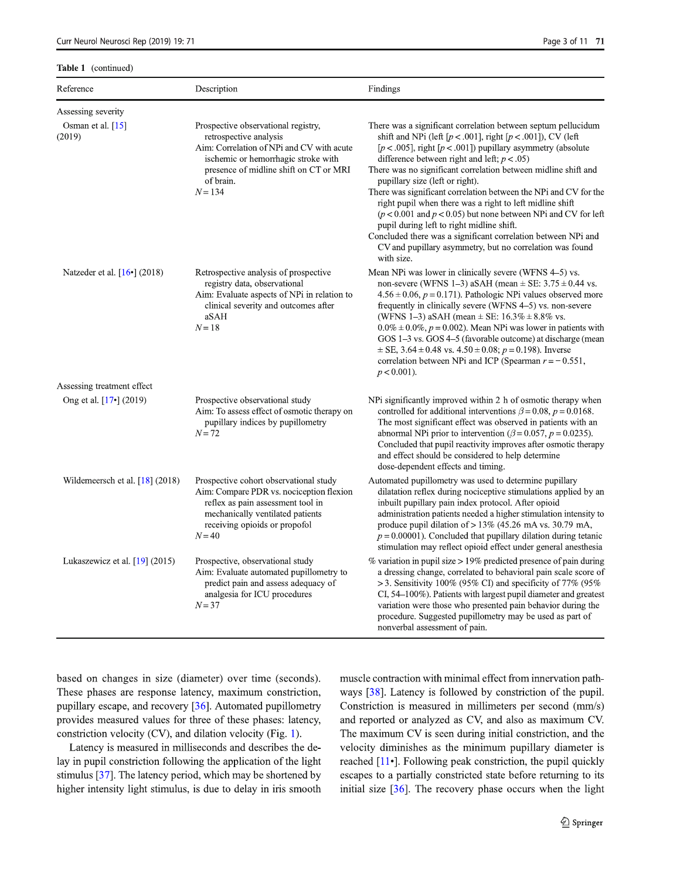Table 1 (continued)

| Reference                         | Description                                                                                                                                                                                                           | Findings                                                                                                                                                                                                                                                                                                                                                                                                                                                                                                                                                                                                                                                                                                                                                     |
|-----------------------------------|-----------------------------------------------------------------------------------------------------------------------------------------------------------------------------------------------------------------------|--------------------------------------------------------------------------------------------------------------------------------------------------------------------------------------------------------------------------------------------------------------------------------------------------------------------------------------------------------------------------------------------------------------------------------------------------------------------------------------------------------------------------------------------------------------------------------------------------------------------------------------------------------------------------------------------------------------------------------------------------------------|
| Assessing severity                |                                                                                                                                                                                                                       |                                                                                                                                                                                                                                                                                                                                                                                                                                                                                                                                                                                                                                                                                                                                                              |
| Osman et al. [15]<br>(2019)       | Prospective observational registry,<br>retrospective analysis<br>Aim: Correlation of NPi and CV with acute<br>ischemic or hemorrhagic stroke with<br>presence of midline shift on CT or MRI<br>of brain.<br>$N = 134$ | There was a significant correlation between septum pellucidum<br>shift and NPi (left $[p < .001]$ , right $[p < .001]$ ), CV (left<br>$[p < .005]$ , right $[p < .001]$ ) pupillary asymmetry (absolute<br>difference between right and left; $p < .05$ )<br>There was no significant correlation between midline shift and<br>pupillary size (left or right).<br>There was significant correlation between the NPi and CV for the<br>right pupil when there was a right to left midline shift<br>$(p < 0.001$ and $p < 0.05$ ) but none between NPi and CV for left<br>pupil during left to right midline shift.<br>Concluded there was a significant correlation between NPi and<br>CV and pupillary asymmetry, but no correlation was found<br>with size. |
| Natzeder et al. $[16•]$ (2018)    | Retrospective analysis of prospective<br>registry data, observational<br>Aim: Evaluate aspects of NPi in relation to<br>clinical severity and outcomes after<br>aSAH<br>$N=18$                                        | Mean NPi was lower in clinically severe (WFNS 4-5) vs.<br>non-severe (WFNS 1–3) aSAH (mean $\pm$ SE: 3.75 $\pm$ 0.44 vs.<br>$4.56 \pm 0.06$ , $p = 0.171$ ). Pathologic NPi values observed more<br>frequently in clinically severe (WFNS 4–5) vs. non-severe<br>(WFNS 1-3) aSAH (mean $\pm$ SE: 16.3% $\pm$ 8.8% vs.<br>$0.0\% \pm 0.0\%$ , $p = 0.002$ ). Mean NPi was lower in patients with<br>GOS 1-3 vs. GOS 4-5 (favorable outcome) at discharge (mean<br>$\pm$ SE, 3.64 $\pm$ 0.48 vs. 4.50 $\pm$ 0.08; $p = 0.198$ ). Inverse<br>correlation between NPi and ICP (Spearman $r = -0.551$ ,<br>$p < 0.001$ ).                                                                                                                                         |
| Assessing treatment effect        |                                                                                                                                                                                                                       |                                                                                                                                                                                                                                                                                                                                                                                                                                                                                                                                                                                                                                                                                                                                                              |
| Ong et al. [17•] (2019)           | Prospective observational study<br>Aim: To assess effect of osmotic therapy on<br>pupillary indices by pupillometry<br>$N = 72$                                                                                       | NPi significantly improved within 2 h of osmotic therapy when<br>controlled for additional interventions $\beta = 0.08$ , $p = 0.0168$ .<br>The most significant effect was observed in patients with an<br>abnormal NPi prior to intervention ( $\beta$ = 0.057, p = 0.0235).<br>Concluded that pupil reactivity improves after osmotic therapy<br>and effect should be considered to help determine<br>dose-dependent effects and timing.                                                                                                                                                                                                                                                                                                                  |
| Wildemeersch et al. $[18]$ (2018) | Prospective cohort observational study<br>Aim: Compare PDR vs. nociception flexion<br>reflex as pain assessment tool in<br>mechanically ventilated patients<br>receiving opioids or propofol<br>$N=40$                | Automated pupillometry was used to determine pupillary<br>dilatation reflex during nociceptive stimulations applied by an<br>inbuilt pupillary pain index protocol. After opioid<br>administration patients needed a higher stimulation intensity to<br>produce pupil dilation of $> 13\%$ (45.26 mA vs. 30.79 mA,<br>$p = 0.00001$ ). Concluded that pupillary dilation during tetanic<br>stimulation may reflect opioid effect under general anesthesia                                                                                                                                                                                                                                                                                                    |
| Lukaszewicz et al. $[19]$ (2015)  | Prospective, observational study<br>Aim: Evaluate automated pupillometry to<br>predict pain and assess adequacy of<br>analgesia for ICU procedures<br>$N = 37$                                                        | $\%$ variation in pupil size > 19% predicted presence of pain during<br>a dressing change, correlated to behavioral pain scale score of<br>> 3. Sensitivity 100% (95% CI) and specificity of 77% (95%<br>CI, 54-100%). Patients with largest pupil diameter and greatest<br>variation were those who presented pain behavior during the<br>procedure. Suggested pupillometry may be used as part of<br>nonverbal assessment of pain.                                                                                                                                                                                                                                                                                                                         |

based on changes in size (diameter) over time (seconds). These phases are response latency, maximum constriction, pupillary escape, and recovery  $[36]$ . Automated pupillometry provides measured values for three of these phases: latency, constriction velocity (CV), and dilation velocity (Fig. 1).

Latency is measured in milliseconds and describes the delay in pupil constriction following the application of the light stimulus [37]. The latency period, which may be shortened by higher intensity light stimulus, is due to delay in iris smooth muscle contraction with minimal effect from innervation pathways  $[38]$ . Latency is followed by constriction of the pupil. Constriction is measured in millimeters per second (mm/s) and reported or analyzed as CV, and also as maximum CV. The maximum CV is seen during initial constriction, and the velocity diminishes as the minimum pupillary diameter is reached  $[11\bullet]$ . Following peak constriction, the pupil quickly escapes to a partially constricted state before returning to its initial size  $[36]$ . The recovery phase occurs when the light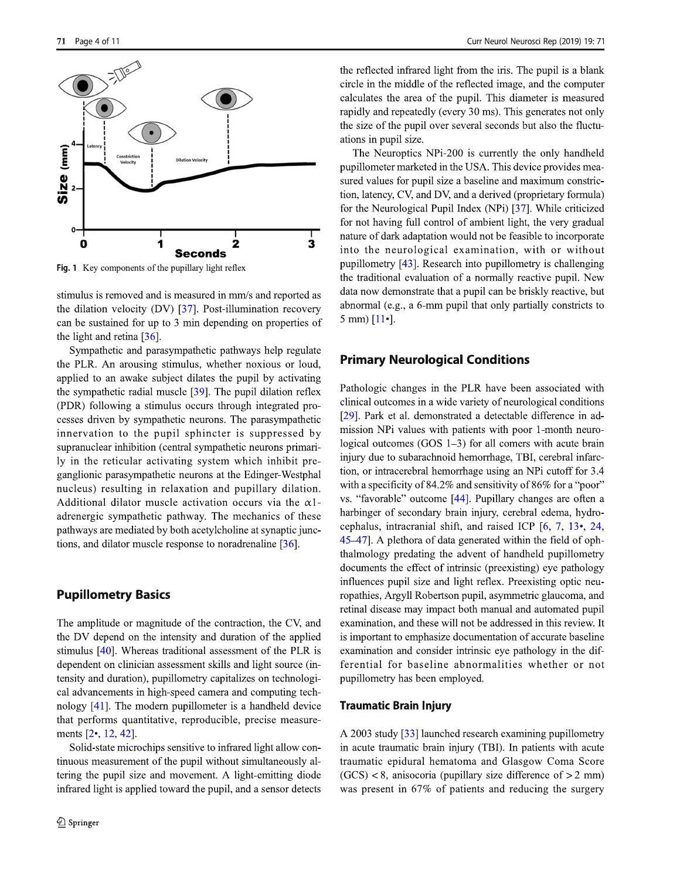

Fig. 1 Key components of the pupillary light reflex

stimulus is removed and is measured in mm/s and reported as the dilation velocity (DV)  $[37]$ . Post-illumination recovery can be sustained for up to 3 min depending on properties of the light and retina  $[36]$ .

Sympathetic and parasympathetic pathways help regulate the PLR. An arousing stimulus, whether noxious or loud, applied to an awake subject dilates the pupil by activating the sympathetic radial muscle [39]. The pupil dilation reflex (PDR) following a stimulus occurs through integrated processes driven by sympathetic neurons. The parasympathetic innervation to the pupil sphincter is suppressed by supranuclear inhibition (central sympathetic neurons primarily in the reticular activating system which inhibit preganglionic parasympathetic neurons at the Edinger-Westphal nucleus) resulting in relaxation and pupillary dilation. Additional dilator muscle activation occurs via the  $\alpha$ 1adrenergic sympathetic pathway. The mechanics of these pathways are mediated by both acetylcholine at synaptic junctions, and dilator muscle response to noradrenaline [36].

# **Pupillometry Basics**

The amplitude or magnitude of the contraction, the CV, and the DV depend on the intensity and duration of the applied stimulus [40]. Whereas traditional assessment of the PLR is dependent on clinician assessment skills and light source (intensity and duration), pupillometry capitalizes on technological advancements in high-speed camera and computing technology [41]. The modern pupillometer is a handheld device that performs quantitative, reproducible, precise measurements [2•, 12, 42].

Solid-state microchips sensitive to infrared light allow continuous measurement of the pupil without simultaneously altering the pupil size and movement. A light-emitting diode infrared light is applied toward the pupil, and a sensor detects the reflected infrared light from the iris. The pupil is a blank circle in the middle of the reflected image, and the computer calculates the area of the pupil. This diameter is measured rapidly and repeatedly (every 30 ms). This generates not only the size of the pupil over several seconds but also the fluctuations in pupil size.

The Neuroptics NPi-200 is currently the only handheld pupillometer marketed in the USA. This device provides measured values for pupil size a baseline and maximum constriction, latency, CV, and DV, and a derived (proprietary formula) for the Neurological Pupil Index (NPi) [37]. While criticized for not having full control of ambient light, the very gradual nature of dark adaptation would not be feasible to incorporate into the neurological examination, with or without pupillometry [43]. Research into pupillometry is challenging the traditional evaluation of a normally reactive pupil. New data now demonstrate that a pupil can be briskly reactive, but abnormal (e.g., a 6-mm pupil that only partially constricts to  $5 \text{ mm}$ ) [11•].

#### **Primary Neurological Conditions**

Pathologic changes in the PLR have been associated with clinical outcomes in a wide variety of neurological conditions [29]. Park et al. demonstrated a detectable difference in admission NPi values with patients with poor 1-month neurological outcomes (GOS  $1-3$ ) for all comers with acute brain injury due to subarachnoid hemorrhage, TBI, cerebral infarction, or intracerebral hemorrhage using an NPi cutoff for 3.4 with a specificity of 84.2% and sensitivity of 86% for a "poor" vs. "favorable" outcome [44]. Pupillary changes are often a harbinger of secondary brain injury, cerebral edema, hydrocephalus, intracranial shift, and raised ICP [6, 7, 13•, 24, 45–47]. A plethora of data generated within the field of ophthalmology predating the advent of handheld pupillometry documents the effect of intrinsic (preexisting) eye pathology influences pupil size and light reflex. Preexisting optic neuropathies, Argyll Robertson pupil, asymmetric glaucoma, and retinal disease may impact both manual and automated pupil examination, and these will not be addressed in this review. It is important to emphasize documentation of accurate baseline examination and consider intrinsic eye pathology in the differential for baseline abnormalities whether or not pupillometry has been employed.

#### **Traumatic Brain Injury**

A 2003 study [33] launched research examining pupillometry in acute traumatic brain injury (TBI). In patients with acute traumatic epidural hematoma and Glasgow Coma Score  $(GCS) < 8$ , anisocoria (pupillary size difference of  $> 2$  mm) was present in 67% of patients and reducing the surgery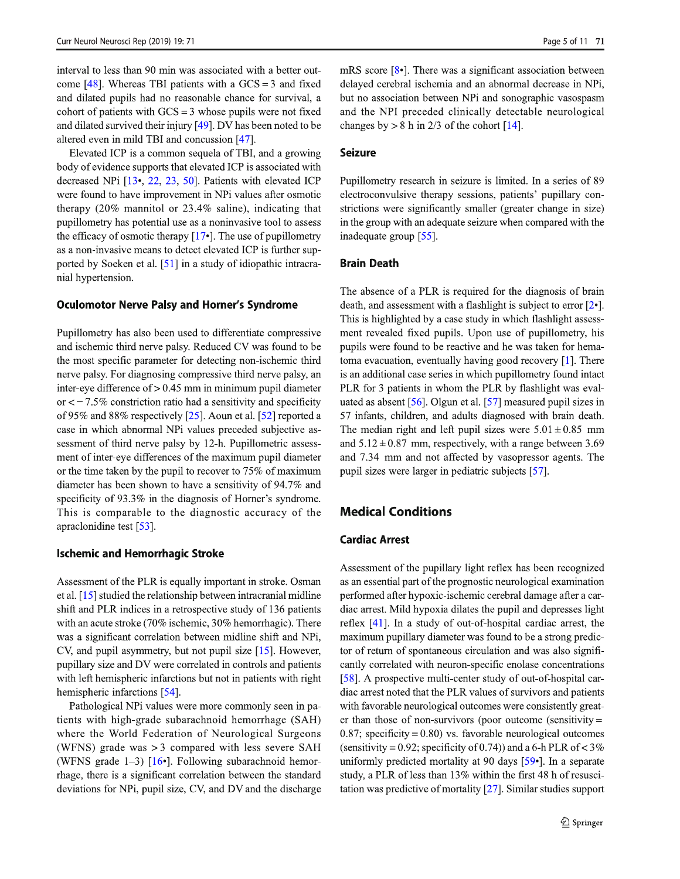interval to less than 90 min was associated with a better outcome [48]. Whereas TBI patients with a  $GCS = 3$  and fixed and dilated pupils had no reasonable chance for survival, a cohort of patients with  $GCS = 3$  whose pupils were not fixed and dilated survived their injury [49]. DV has been noted to be altered even in mild TBI and concussion [47].

Elevated ICP is a common sequela of TBI, and a growing body of evidence supports that elevated ICP is associated with decreased NPi [13•, 22, 23, 50]. Patients with elevated ICP were found to have improvement in NPi values after osmotic therapy  $(20\%$  mannitol or 23.4% saline), indicating that pupillometry has potential use as a noninvasive tool to assess the efficacy of osmotic therapy  $[17\bullet]$ . The use of pupillometry as a non-invasive means to detect elevated ICP is further supported by Soeken et al. [51] in a study of idiopathic intracranial hypertension.

#### **Oculomotor Nerve Palsy and Horner's Syndrome**

Pupillometry has also been used to differentiate compressive and ischemic third nerve palsy. Reduced CV was found to be the most specific parameter for detecting non-ischemic third nerve palsy. For diagnosing compressive third nerve palsy, an inter-eye difference of  $> 0.45$  mm in minimum pupil diameter or  $<-7.5\%$  constriction ratio had a sensitivity and specificity of 95% and 88% respectively  $[25]$ . Aoun et al. [52] reported a case in which abnormal NPi values preceded subjective assessment of third nerve palsy by 12-h. Pupillometric assessment of inter-eye differences of the maximum pupil diameter or the time taken by the pupil to recover to 75% of maximum diameter has been shown to have a sensitivity of 94.7% and specificity of 93.3% in the diagnosis of Horner's syndrome. This is comparable to the diagnostic accuracy of the apraclonidine test  $[53]$ .

#### **Ischemic and Hemorrhagic Stroke**

Assessment of the PLR is equally important in stroke. Osman et al.  $[15]$  studied the relationship between intracranial midline shift and PLR indices in a retrospective study of 136 patients with an acute stroke (70% ischemic, 30% hemorrhagic). There was a significant correlation between midline shift and NPi, CV, and pupil asymmetry, but not pupil size [15]. However, pupillary size and DV were correlated in controls and patients with left hemispheric infarctions but not in patients with right hemispheric infarctions [54].

Pathological NPi values were more commonly seen in patients with high-grade subarachnoid hemorrhage (SAH) where the World Federation of Neurological Surgeons (WFNS) grade was  $>3$  compared with less severe SAH (WFNS grade  $1-3$ ) [16•]. Following subarachnoid hemorrhage, there is a significant correlation between the standard deviations for NPi, pupil size, CV, and DV and the discharge mRS score  $[8 \cdot]$ . There was a significant association between delayed cerebral ischemia and an abnormal decrease in NPi, but no association between NPi and sonographic vasospasm and the NPI preceded clinically detectable neurological changes by  $> 8$  h in 2/3 of the cohort [14].

#### **Seizure**

Pupillometry research in seizure is limited. In a series of 89 electroconvulsive therapy sessions, patients' pupillary constrictions were significantly smaller (greater change in size) in the group with an adequate seizure when compared with the inadequate group [55].

#### **Brain Death**

The absence of a PLR is required for the diagnosis of brain death, and assessment with a flashlight is subject to error  $[2\bullet]$ . This is highlighted by a case study in which flashlight assessment revealed fixed pupils. Upon use of pupillometry, his pupils were found to be reactive and he was taken for hematoma evacuation, eventually having good recovery  $[1]$ . There is an additional case series in which pupillometry found intact PLR for 3 patients in whom the PLR by flashlight was evaluated as absent  $[56]$ . Olgun et al.  $[57]$  measured pupil sizes in 57 infants, children, and adults diagnosed with brain death. The median right and left pupil sizes were  $5.01 \pm 0.85$  mm and  $5.12 \pm 0.87$  mm, respectively, with a range between 3.69 and 7.34 mm and not affected by vasopressor agents. The pupil sizes were larger in pediatric subjects [57].

# **Medical Conditions**

# **Cardiac Arrest**

Assessment of the pupillary light reflex has been recognized as an essential part of the prognostic neurological examination performed after hypoxic-ischemic cerebral damage after a cardiac arrest. Mild hypoxia dilates the pupil and depresses light reflex  $[41]$ . In a study of out-of-hospital cardiac arrest, the maximum pupillary diameter was found to be a strong predictor of return of spontaneous circulation and was also significantly correlated with neuron-specific enolase concentrations [58]. A prospective multi-center study of out-of-hospital cardiac arrest noted that the PLR values of survivors and patients with favorable neurological outcomes were consistently greater than those of non-survivors (poor outcome (sensitivity = 0.87; specificity =  $0.80$ ) vs. favorable neurological outcomes (sensitivity = 0.92; specificity of 0.74)) and a 6-h PLR of <  $3\%$ uniformly predicted mortality at 90 days [59•]. In a separate study, a PLR of less than 13% within the first 48 h of resuscitation was predictive of mortality [27]. Similar studies support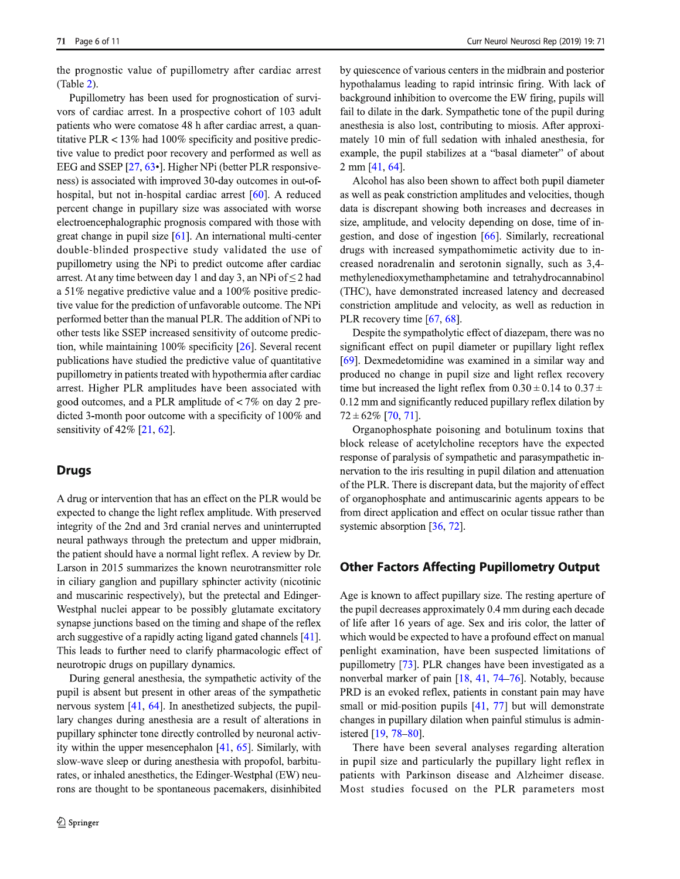the prognostic value of pupillometry after cardiac arrest (Table 2).

Pupillometry has been used for prognostication of survivors of cardiac arrest. In a prospective cohort of 103 adult patients who were comatose 48 h after cardiac arrest, a quantitative PLR < 13% had 100% specificity and positive predictive value to predict poor recovery and performed as well as EEG and SSEP [27, 63•]. Higher NPi (better PLR responsiveness) is associated with improved 30-day outcomes in out-ofhospital, but not in-hospital cardiac arrest [60]. A reduced percent change in pupillary size was associated with worse electroencephalographic prognosis compared with those with great change in pupil size  $[61]$ . An international multi-center double-blinded prospective study validated the use of pupillometry using the NPi to predict outcome after cardiac arrest. At any time between day 1 and day 3, an NPi of  $\leq$  2 had a 51% negative predictive value and a 100% positive predictive value for the prediction of unfavorable outcome. The NPi performed better than the manual PLR. The addition of NPi to other tests like SSEP increased sensitivity of outcome prediction, while maintaining 100% specificity [26]. Several recent publications have studied the predictive value of quantitative pupillometry in patients treated with hypothermia after cardiac arrest. Higher PLR amplitudes have been associated with good outcomes, and a PLR amplitude of  $< 7\%$  on day 2 predicted 3-month poor outcome with a specificity of 100% and sensitivity of  $42\%$  [21, 62].

# **Drugs**

A drug or intervention that has an effect on the PLR would be expected to change the light reflex amplitude. With preserved integrity of the 2nd and 3rd cranial nerves and uninterrupted neural pathways through the pretectum and upper midbrain, the patient should have a normal light reflex. A review by Dr. Larson in 2015 summarizes the known neurotransmitter role in ciliary ganglion and pupillary sphincter activity (nicotinic and muscarinic respectively), but the pretectal and Edinger-Westphal nuclei appear to be possibly glutamate excitatory synapse junctions based on the timing and shape of the reflex arch suggestive of a rapidly acting ligand gated channels [41]. This leads to further need to clarify pharmacologic effect of neurotropic drugs on pupillary dynamics.

During general anesthesia, the sympathetic activity of the pupil is absent but present in other areas of the sympathetic nervous system  $[41, 64]$ . In anesthetized subjects, the pupillary changes during anesthesia are a result of alterations in pupillary sphincter tone directly controlled by neuronal activity within the upper mesencephalon [41, 65]. Similarly, with slow-wave sleep or during anesthesia with propofol, barbiturates, or inhaled anesthetics, the Edinger-Westphal (EW) neurons are thought to be spontaneous pacemakers, disinhibited by quiescence of various centers in the midbrain and posterior hypothalamus leading to rapid intrinsic firing. With lack of background inhibition to overcome the EW firing, pupils will fail to dilate in the dark. Sympathetic tone of the pupil during anesthesia is also lost, contributing to miosis. After approximately 10 min of full sedation with inhaled anesthesia, for example, the pupil stabilizes at a "basal diameter" of about 2 mm [41, 64].

Alcohol has also been shown to affect both pupil diameter as well as peak constriction amplitudes and velocities, though data is discrepant showing both increases and decreases in size, amplitude, and velocity depending on dose, time of ingestion, and dose of ingestion [66]. Similarly, recreational drugs with increased sympathomimetic activity due to increased noradrenalin and serotonin signally, such as 3,4methylenedioxymethamphetamine and tetrahydrocannabinol (THC), have demonstrated increased latency and decreased constriction amplitude and velocity, as well as reduction in PLR recovery time  $[67, 68]$ .

Despite the sympatholytic effect of diazepam, there was no significant effect on pupil diameter or pupillary light reflex  $[69]$ . Dexmedetomidine was examined in a similar way and produced no change in pupil size and light reflex recovery time but increased the light reflex from  $0.30 \pm 0.14$  to  $0.37 \pm$ 0.12 mm and significantly reduced pupillary reflex dilation by  $72 \pm 62\%$  [70, 71].

Organophosphate poisoning and botulinum toxins that block release of acetylcholine receptors have the expected response of paralysis of sympathetic and parasympathetic innervation to the iris resulting in pupil dilation and attenuation of the PLR. There is discrepant data, but the majority of effect of organophosphate and antimuscarinic agents appears to be from direct application and effect on ocular tissue rather than systemic absorption  $[36, 72]$ .

# **Other Factors Affecting Pupillometry Output**

Age is known to affect pupillary size. The resting aperture of the pupil decreases approximately 0.4 mm during each decade of life after 16 years of age. Sex and iris color, the latter of which would be expected to have a profound effect on manual penlight examination, have been suspected limitations of pupillometry [73]. PLR changes have been investigated as a nonverbal marker of pain [18, 41, 74-76]. Notably, because PRD is an evoked reflex, patients in constant pain may have small or mid-position pupils [41, 77] but will demonstrate changes in pupillary dilation when painful stimulus is administered [19, 78-80].

There have been several analyses regarding alteration in pupil size and particularly the pupillary light reflex in patients with Parkinson disease and Alzheimer disease. Most studies focused on the PLR parameters most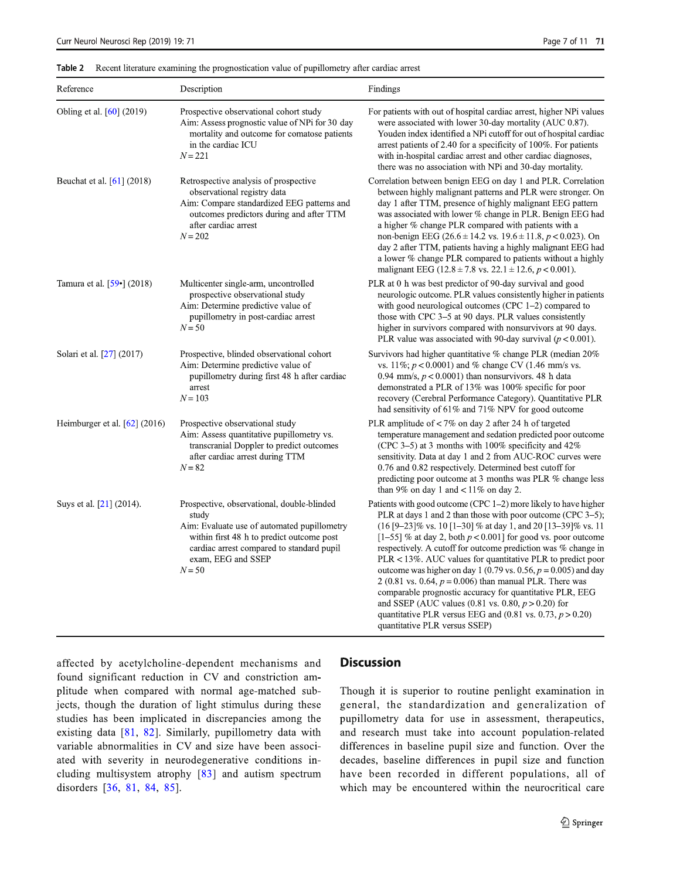| Reference                       | Description                                                                                                                                                                                                                    | Findings                                                                                                                                                                                                                                                                                                                                                                                                                                                                                                                                                                                                                                                                                                                                               |
|---------------------------------|--------------------------------------------------------------------------------------------------------------------------------------------------------------------------------------------------------------------------------|--------------------------------------------------------------------------------------------------------------------------------------------------------------------------------------------------------------------------------------------------------------------------------------------------------------------------------------------------------------------------------------------------------------------------------------------------------------------------------------------------------------------------------------------------------------------------------------------------------------------------------------------------------------------------------------------------------------------------------------------------------|
| Obling et al. $[60]$ (2019)     | Prospective observational cohort study<br>Aim: Assess prognostic value of NPi for 30 day<br>mortality and outcome for comatose patients<br>in the cardiac ICU<br>$N = 221$                                                     | For patients with out of hospital cardiac arrest, higher NPi values<br>were associated with lower 30-day mortality (AUC 0.87).<br>Youden index identified a NPi cutoff for out of hospital cardiac<br>arrest patients of 2.40 for a specificity of 100%. For patients<br>with in-hospital cardiac arrest and other cardiac diagnoses,<br>there was no association with NPi and 30-day mortality.                                                                                                                                                                                                                                                                                                                                                       |
| Beuchat et al. [61] (2018)      | Retrospective analysis of prospective<br>observational registry data<br>Aim: Compare standardized EEG patterns and<br>outcomes predictors during and after TTM<br>after cardiac arrest<br>$N = 202$                            | Correlation between benign EEG on day 1 and PLR. Correlation<br>between highly malignant patterns and PLR were stronger. On<br>day 1 after TTM, presence of highly malignant EEG pattern<br>was associated with lower % change in PLR. Benign EEG had<br>a higher % change PLR compared with patients with a<br>non-benign EEG $(26.6 \pm 14.2 \text{ vs. } 19.6 \pm 11.8, p < 0.023)$ . On<br>day 2 after TTM, patients having a highly malignant EEG had<br>a lower % change PLR compared to patients without a highly<br>malignant EEG (12.8 ± 7.8 vs. 22.1 ± 12.6, $p < 0.001$ ).                                                                                                                                                                  |
| Tamura et al. [59•] (2018)      | Multicenter single-arm, uncontrolled<br>prospective observational study<br>Aim: Determine predictive value of<br>pupillometry in post-cardiac arrest<br>$N = 50$                                                               | PLR at 0 h was best predictor of 90-day survival and good<br>neurologic outcome. PLR values consistently higher in patients<br>with good neurological outcomes (CPC $1-2$ ) compared to<br>those with CPC 3-5 at 90 days. PLR values consistently<br>higher in survivors compared with nonsurvivors at 90 days.<br>PLR value was associated with 90-day survival ( $p < 0.001$ ).                                                                                                                                                                                                                                                                                                                                                                      |
| Solari et al. [27] (2017)       | Prospective, blinded observational cohort<br>Aim: Determine predictive value of<br>pupillometry during first 48 h after cardiac<br>arrest<br>$N = 103$                                                                         | Survivors had higher quantitative % change PLR (median 20%<br>vs. 11%; $p < 0.0001$ ) and % change CV (1.46 mm/s vs.<br>0.94 mm/s, $p < 0.0001$ ) than nonsurvivors. 48 h data<br>demonstrated a PLR of 13% was 100% specific for poor<br>recovery (Cerebral Performance Category). Quantitative PLR<br>had sensitivity of 61% and 71% NPV for good outcome                                                                                                                                                                                                                                                                                                                                                                                            |
| Heimburger et al. $[62]$ (2016) | Prospective observational study<br>Aim: Assess quantitative pupillometry vs.<br>transcranial Doppler to predict outcomes<br>after cardiac arrest during TTM<br>$N = 82$                                                        | PLR amplitude of < 7% on day 2 after 24 h of targeted<br>temperature management and sedation predicted poor outcome<br>(CPC 3–5) at 3 months with 100% specificity and $42\%$<br>sensitivity. Data at day 1 and 2 from AUC-ROC curves were<br>0.76 and 0.82 respectively. Determined best cutoff for<br>predicting poor outcome at 3 months was PLR % change less<br>than 9% on day 1 and $< 11\%$ on day 2.                                                                                                                                                                                                                                                                                                                                           |
| Suys et al. [21] (2014).        | Prospective, observational, double-blinded<br>study<br>Aim: Evaluate use of automated pupillometry<br>within first 48 h to predict outcome post<br>cardiac arrest compared to standard pupil<br>exam, EEG and SSEP<br>$N = 50$ | Patients with good outcome (CPC $1-2$ ) more likely to have higher<br>PLR at days 1 and 2 than those with poor outcome (CPC 3–5);<br>(16 [9-23]% vs. 10 [1-30] % at day 1, and 20 [13-39]% vs. 11<br>[1–55] % at day 2, both $p < 0.001$ ] for good vs. poor outcome<br>respectively. A cutoff for outcome prediction was % change in<br>$PLR < 13\%$ . AUC values for quantitative PLR to predict poor<br>outcome was higher on day 1 (0.79 vs. 0.56, $p = 0.005$ ) and day<br>2 (0.81 vs. 0.64, $p = 0.006$ ) than manual PLR. There was<br>comparable prognostic accuracy for quantitative PLR, EEG<br>and SSEP (AUC values $(0.81 \text{ vs. } 0.80, p > 0.20)$ for<br>quantitative PLR versus EEG and $(0.81 \text{ vs } 0.73 \text{ } n > 0.20)$ |

Recent literature examining the prognostication value of pupillometry after cardiac arrest Table 2

affected by acetylcholine-dependent mechanisms and found significant reduction in CV and constriction amplitude when compared with normal age-matched subjects, though the duration of light stimulus during these studies has been implicated in discrepancies among the existing data  $[81, 82]$ . Similarly, pupillometry data with variable abnormalities in CV and size have been associated with severity in neurodegenerative conditions including multisystem atrophy [83] and autism spectrum disorders [36, 81, 84, 85].

# **Discussion**

Though it is superior to routine penlight examination in general, the standardization and generalization of pupillometry data for use in assessment, therapeutics, and research must take into account population-related differences in baseline pupil size and function. Over the decades, baseline differences in pupil size and function have been recorded in different populations, all of which may be encountered within the neurocritical care

quantitative PLR versus SSEP)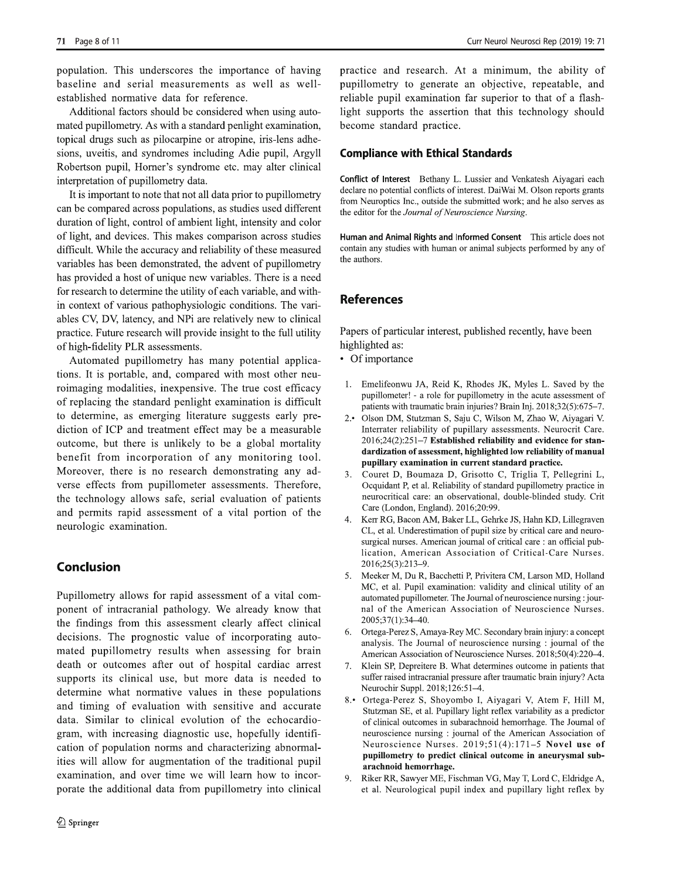Curr Neurol Neurosci Rep (2019) 19: 71

population. This underscores the importance of having baseline and serial measurements as well as wellestablished normative data for reference.

Additional factors should be considered when using automated pupillometry. As with a standard penlight examination, topical drugs such as pilocarpine or atropine, iris-lens adhesions, uveitis, and syndromes including Adie pupil, Argyll Robertson pupil, Horner's syndrome etc. may alter clinical interpretation of pupillometry data.

It is important to note that not all data prior to pupillometry can be compared across populations, as studies used different duration of light, control of ambient light, intensity and color of light, and devices. This makes comparison across studies difficult. While the accuracy and reliability of these measured variables has been demonstrated, the advent of pupillometry has provided a host of unique new variables. There is a need for research to determine the utility of each variable, and within context of various pathophysiologic conditions. The variables CV, DV, latency, and NPi are relatively new to clinical practice. Future research will provide insight to the full utility of high-fidelity PLR assessments.

Automated pupillometry has many potential applications. It is portable, and, compared with most other neuroimaging modalities, inexpensive. The true cost efficacy of replacing the standard penlight examination is difficult to determine, as emerging literature suggests early prediction of ICP and treatment effect may be a measurable outcome, but there is unlikely to be a global mortality benefit from incorporation of any monitoring tool. Moreover, there is no research demonstrating any adverse effects from pupillometer assessments. Therefore, the technology allows safe, serial evaluation of patients and permits rapid assessment of a vital portion of the neurologic examination.

# **Conclusion**

Pupillometry allows for rapid assessment of a vital component of intracranial pathology. We already know that the findings from this assessment clearly affect clinical decisions. The prognostic value of incorporating automated pupillometry results when assessing for brain death or outcomes after out of hospital cardiac arrest supports its clinical use, but more data is needed to determine what normative values in these populations and timing of evaluation with sensitive and accurate data. Similar to clinical evolution of the echocardiogram, with increasing diagnostic use, hopefully identification of population norms and characterizing abnormalities will allow for augmentation of the traditional pupil examination, and over time we will learn how to incorporate the additional data from pupillometry into clinical practice and research. At a minimum, the ability of pupillometry to generate an objective, repeatable, and reliable pupil examination far superior to that of a flashlight supports the assertion that this technology should become standard practice.

### **Compliance with Ethical Standards**

Conflict of Interest Bethany L. Lussier and Venkatesh Aiyagari each declare no potential conflicts of interest. DaiWai M. Olson reports grants from Neuroptics Inc., outside the submitted work; and he also serves as the editor for the Journal of Neuroscience Nursing.

Human and Animal Rights and Informed Consent This article does not contain any studies with human or animal subjects performed by any of the authors.

# **References**

Papers of particular interest, published recently, have been highlighted as:

- Of importance
- Emelifeonwu JA, Reid K, Rhodes JK, Myles L. Saved by the 1. pupillometer! - a role for pupillometry in the acute assessment of patients with traumatic brain injuries? Brain Inj. 2018;32(5):675–7.
- 2. Olson DM, Stutzman S, Saju C, Wilson M, Zhao W, Aiyagari V. Interrater reliability of pupillary assessments. Neurocrit Care. 2016;24(2):251-7 Established reliability and evidence for standardization of assessment, highlighted low reliability of manual pupillary examination in current standard practice.
- Couret D, Boumaza D, Grisotto C, Triglia T, Pellegrini L,  $3<sub>1</sub>$ Ocquidant P, et al. Reliability of standard pupillometry practice in neurocritical care: an observational, double-blinded study. Crit Care (London, England). 2016;20:99.
- $4.$ Kerr RG, Bacon AM, Baker LL, Gehrke JS, Hahn KD, Lillegraven CL, et al. Underestimation of pupil size by critical care and neurosurgical nurses. American journal of critical care : an official publication, American Association of Critical-Care Nurses. 2016;25(3):213-9.
- Meeker M, Du R, Bacchetti P, Privitera CM, Larson MD, Holland  $5.$ MC, et al. Pupil examination: validity and clinical utility of an automated pupillometer. The Journal of neuroscience nursing : journal of the American Association of Neuroscience Nurses. 2005;37(1):34-40.
- Ortega-Perez S, Amaya-Rey MC. Secondary brain injury: a concept 6. analysis. The Journal of neuroscience nursing : journal of the American Association of Neuroscience Nurses. 2018;50(4):220-4.
- Klein SP, Depreitere B. What determines outcome in patients that 7. suffer raised intracranial pressure after traumatic brain injury? Acta Neurochir Suppl. 2018;126:51-4.
- $8.$ Ortega-Perez S, Shoyombo I, Aiyagari V, Atem F, Hill M, Stutzman SE, et al. Pupillary light reflex variability as a predictor of clinical outcomes in subarachnoid hemorrhage. The Journal of neuroscience nursing : journal of the American Association of Neuroscience Nurses. 2019;51(4):171-5 Novel use of pupillometry to predict clinical outcome in aneurysmal subarachnoid hemorrhage.
- 9. Riker RR, Sawyer ME, Fischman VG, May T, Lord C, Eldridge A, et al. Neurological pupil index and pupillary light reflex by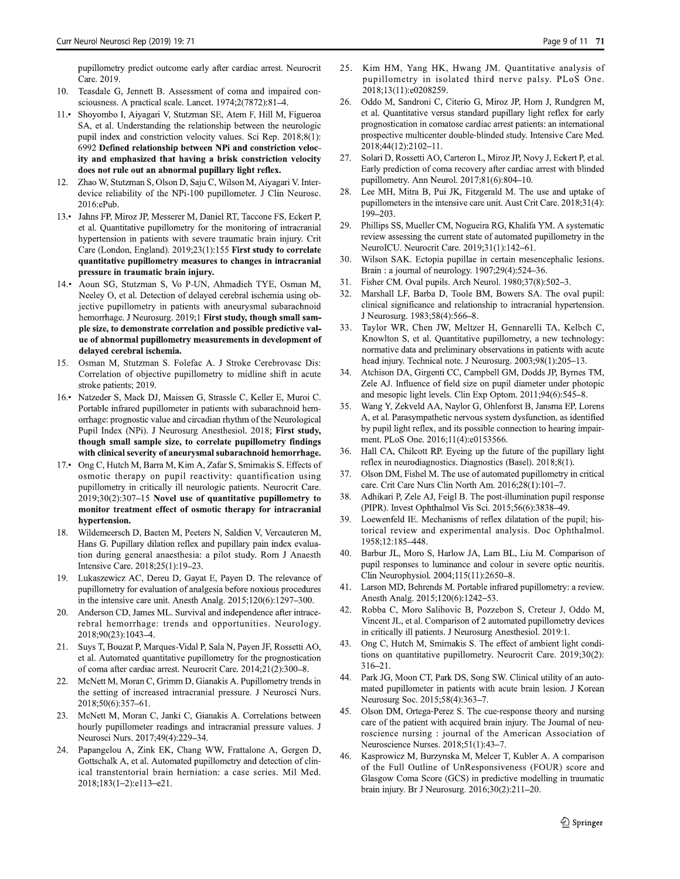pupillometry predict outcome early after cardiac arrest. Neurocrit Care, 2019.

- 10. Teasdale G, Jennett B. Assessment of coma and impaired consciousness. A practical scale. Lancet. 1974;2(7872):81-4.
- $11 \cdot$ Shoyombo I, Aiyagari V, Stutzman SE, Atem F, Hill M, Figueroa SA, et al. Understanding the relationship between the neurologic pupil index and constriction velocity values. Sci Rep. 2018;8(1): 6992 Defined relationship between NPi and constriction velocity and emphasized that having a brisk constriction velocity does not rule out an abnormal pupillary light reflex.
- $12.$ Zhao W, Stutzman S, Olson D, Saju C, Wilson M, Aiyagari V. Interdevice reliability of the NPi-100 pupillometer. J Clin Neurosc. 2016:ePub.
- 13.• Jahns FP, Miroz JP, Messerer M, Daniel RT, Taccone FS, Eckert P, et al. Quantitative pupillometry for the monitoring of intracranial hypertension in patients with severe traumatic brain injury. Crit Care (London, England). 2019;23(1):155 First study to correlate quantitative pupillometry measures to changes in intracranial pressure in traumatic brain injury.
- 14. Aoun SG, Stutzman S, Vo P-UN, Ahmadieh TYE, Osman M, Neeley O, et al. Detection of delayed cerebral ischemia using objective pupillometry in patients with aneurysmal subarachnoid hemorrhage. J Neurosurg. 2019;1 First study, though small sample size, to demonstrate correlation and possible predictive value of abnormal pupillometry measurements in development of delayed cerebral ischemia.
- Osman M, Stutzman S. Folefac A. J Stroke Cerebrovasc Dis: 15. Correlation of objective pupillometry to midline shift in acute stroke patients; 2019.
- Natzeder S, Mack DJ, Maissen G, Strassle C, Keller E, Muroi C.  $16.$ Portable infrared pupillometer in patients with subarachnoid hemorrhage: prognostic value and circadian rhythm of the Neurological Pupil Index (NPi). J Neurosurg Anesthesiol. 2018; First study, though small sample size, to correlate pupillometry findings with clinical severity of aneurysmal subarachnoid hemorrhage.
- 17. Ong C, Hutch M, Barra M, Kim A, Zafar S, Smirnakis S. Effects of osmotic therapy on pupil reactivity: quantification using pupillometry in critically ill neurologic patients. Neurocrit Care.  $2019;30(2):307-15$  Novel use of quantitative pupillometry to monitor treatment effect of osmotic therapy for intracranial hypertension.
- 18. Wildemeersch D, Baeten M, Peeters N, Saldien V, Vercauteren M, Hans G. Pupillary dilation reflex and pupillary pain index evaluation during general anaesthesia: a pilot study. Rom J Anaesth Intensive Care. 2018;25(1):19-23.
- 19. Lukaszewicz AC, Dereu D, Gayat E, Payen D. The relevance of pupillometry for evaluation of analgesia before noxious procedures in the intensive care unit. Anesth Analg.  $2015;120(6):1297-300$ .
- Anderson CD, James ML. Survival and independence after intrace-20. rebral hemorrhage: trends and opportunities. Neurology. 2018;90(23):1043-4.
- 21. Suys T, Bouzat P, Marques-Vidal P, Sala N, Payen JF, Rossetti AO, et al. Automated quantitative pupillometry for the prognostication of coma after cardiac arrest. Neurocrit Care. 2014;21(2):300-8.
- 22. McNett M, Moran C, Grimm D, Gianakis A. Pupillometry trends in the setting of increased intracranial pressure. J Neurosci Nurs. 2018;50(6):357-61.
- McNett M, Moran C, Janki C, Gianakis A. Correlations between 23. hourly pupillometer readings and intracranial pressure values. J Neurosci Nurs. 2017;49(4):229-34.
- Papangelou A, Zink EK, Chang WW, Frattalone A, Gergen D, 24. Gottschalk A, et al. Automated pupillometry and detection of clinical transtentorial brain herniation: a case series. Mil Med. 2018;183(1-2):e113-e21.
- 25. Kim HM, Yang HK, Hwang JM. Quantitative analysis of pupillometry in isolated third nerve palsy. PLoS One. 2018;13(11):e0208259.
- 26. Oddo M, Sandroni C, Citerio G, Miroz JP, Horn J, Rundgren M, et al. Quantitative versus standard pupillary light reflex for early prognostication in comatose cardiac arrest patients: an international prospective multicenter double-blinded study. Intensive Care Med. 2018;44(12):2102-11.
- 27. Solari D, Rossetti AO, Carteron L, Miroz JP, Novy J, Eckert P, et al. Early prediction of coma recovery after cardiac arrest with blinded pupillometry. Ann Neurol. 2017;81(6):804-10.
- 28. Lee MH, Mitra B, Pui JK, Fitzgerald M. The use and uptake of pupillometers in the intensive care unit. Aust Crit Care. 2018;31(4): 199-203.
- Phillips SS, Mueller CM, Nogueira RG, Khalifa YM. A systematic 29. review assessing the current state of automated pupillometry in the NeuroICU. Neurocrit Care. 2019;31(1):142-61.
- 30. Wilson SAK. Ectopia pupillae in certain mesencephalic lesions. Brain: a journal of neurology. 1907;29(4):524-36.
- $31.$ Fisher CM. Oval pupils. Arch Neurol. 1980;37(8):502-3.
- 32. Marshall LF, Barba D, Toole BM, Bowers SA. The oval pupil: clinical significance and relationship to intracranial hypertension. J Neurosurg. 1983;58(4):566-8.
- 33. Taylor WR, Chen JW, Meltzer H, Gennarelli TA, Kelbch C, Knowlton S, et al. Quantitative pupillometry, a new technology: normative data and preliminary observations in patients with acute head injury. Technical note. J Neurosurg. 2003;98(1):205-13.
- Atchison DA, Girgenti CC, Campbell GM, Dodds JP, Byrnes TM, 34. Zele AJ. Influence of field size on pupil diameter under photopic and mesopic light levels. Clin Exp Optom. 2011;94(6):545-8.
- 35. Wang Y, Zekveld AA, Naylor G, Ohlenforst B, Jansma EP, Lorens A, et al. Parasympathetic nervous system dysfunction, as identified by pupil light reflex, and its possible connection to hearing impairment. PLoS One. 2016;11(4):e0153566.
- Hall CA, Chilcott RP. Eyeing up the future of the pupillary light 36. reflex in neurodiagnostics. Diagnostics (Basel). 2018;8(1).
- 37. Olson DM, Fishel M. The use of automated pupillometry in critical care. Crit Care Nurs Clin North Am. 2016;28(1):101-7.
- Adhikari P, Zele AJ, Feigl B. The post-illumination pupil response 38. (PIPR). Invest Ophthalmol Vis Sci. 2015;56(6):3838-49.
- 39. Loewenfeld IE. Mechanisms of reflex dilatation of the pupil; historical review and experimental analysis. Doc Ophthalmol. 1958;12:185-448.
- 40. Barbur JL, Moro S, Harlow JA, Lam BL, Liu M. Comparison of pupil responses to luminance and colour in severe optic neuritis. Clin Neurophysiol. 2004;115(11):2650-8.
- Larson MD, Behrends M. Portable infrared pupillometry: a review. 41. Anesth Analg. 2015;120(6):1242-53.
- 42. Robba C, Moro Salihovic B, Pozzebon S, Creteur J, Oddo M, Vincent JL, et al. Comparison of 2 automated pupillometry devices in critically ill patients. J Neurosurg Anesthesiol. 2019:1.
- 43. Ong C, Hutch M, Smirnakis S. The effect of ambient light conditions on quantitative pupillometry. Neurocrit Care. 2019;30(2):  $316 - 21$ .
- 44. Park JG, Moon CT, Park DS, Song SW. Clinical utility of an automated pupillometer in patients with acute brain lesion. J Korean Neurosurg Soc. 2015;58(4):363-7.
- 45. Olson DM, Ortega-Perez S. The cue-response theory and nursing care of the patient with acquired brain injury. The Journal of neuroscience nursing : journal of the American Association of Neuroscience Nurses. 2018;51(1):43-7.
- 46. Kasprowicz M, Burzynska M, Melcer T, Kubler A. A comparison of the Full Outline of UnResponsiveness (FOUR) score and Glasgow Coma Score (GCS) in predictive modelling in traumatic brain injury. Br J Neurosurg.  $2016;30(2):211-20$ .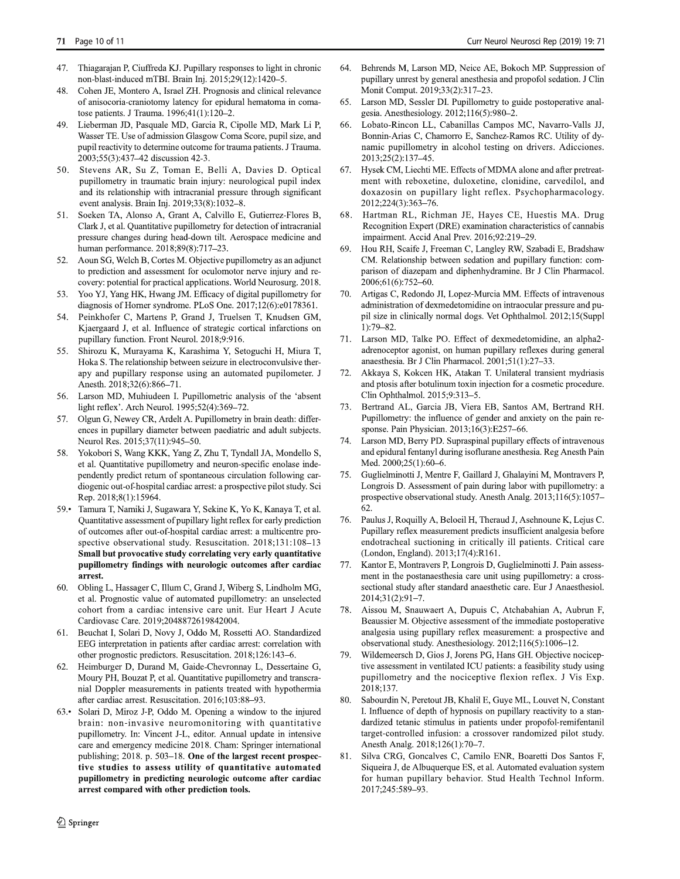- Thiagarajan P, Ciuffreda KJ. Pupillary responses to light in chronic 47. non-blast-induced mTBI. Brain Inj. 2015;29(12):1420-5.
- 48. Cohen JE, Montero A, Israel ZH. Prognosis and clinical relevance of anisocoria-craniotomy latency for epidural hematoma in comatose patients. J Trauma. 1996;41(1):120-2.
- Lieberman JD, Pasquale MD, Garcia R, Cipolle MD, Mark Li P, 49. Wasser TE. Use of admission Glasgow Coma Score, pupil size, and pupil reactivity to determine outcome for trauma patients. J Trauma. 2003;55(3):437-42 discussion 42-3.
- $50<sub>1</sub>$ Stevens AR, Su Z, Toman E, Belli A, Davies D. Optical pupillometry in traumatic brain injury: neurological pupil index and its relationship with intracranial pressure through significant event analysis. Brain Inj. 2019;33(8):1032-8.
- $51$ Soeken TA, Alonso A, Grant A, Calvillo E, Gutierrez-Flores B, Clark J, et al. Quantitative pupillometry for detection of intracranial pressure changes during head-down tilt. Aerospace medicine and human performance. 2018;89(8):717-23.
- 52. Aoun SG, Welch B, Cortes M. Objective pupillometry as an adjunct to prediction and assessment for oculomotor nerve injury and recovery: potential for practical applications. World Neurosurg. 2018.
- 53. Yoo YJ, Yang HK, Hwang JM. Efficacy of digital pupillometry for diagnosis of Horner syndrome. PLoS One. 2017;12(6):e0178361.
- 54. Peinkhofer C, Martens P, Grand J, Truelsen T, Knudsen GM, Kjaergaard J, et al. Influence of strategic cortical infarctions on pupillary function. Front Neurol. 2018;9:916.
- 55. Shirozu K, Murayama K, Karashima Y, Setoguchi H, Miura T, Hoka S. The relationship between seizure in electroconvulsive therapy and pupillary response using an automated pupilometer. J Anesth. 2018;32(6):866-71.
- Larson MD, Muhiudeen I. Pupillometric analysis of the 'absent 56. light reflex'. Arch Neurol. 1995;52(4):369-72.
- 57. Olgun G, Newey CR, Ardelt A. Pupillometry in brain death: differences in pupillary diameter between paediatric and adult subjects. Neurol Res. 2015;37(11):945–50.
- Yokobori S, Wang KKK, Yang Z, Zhu T, Tyndall JA, Mondello S, 58. et al. Quantitative pupillometry and neuron-specific enolase independently predict return of spontaneous circulation following cardiogenic out-of-hospital cardiac arrest: a prospective pilot study. Sci Rep. 2018;8(1):15964.
- 59. Tamura T, Namiki J, Sugawara Y, Sekine K, Yo K, Kanaya T, et al. Quantitative assessment of pupillary light reflex for early prediction of outcomes after out-of-hospital cardiac arrest: a multicentre prospective observational study. Resuscitation. 2018;131:108-13 Small but provocative study correlating very early quantitative pupillometry findings with neurologic outcomes after cardiac arrest.
- Obling L, Hassager C, Illum C, Grand J, Wiberg S, Lindholm MG, 60. et al. Prognostic value of automated pupillometry: an unselected cohort from a cardiac intensive care unit. Eur Heart J Acute Cardiovasc Care. 2019;2048872619842004.
- 61. Beuchat I, Solari D, Novy J, Oddo M, Rossetti AO. Standardized EEG interpretation in patients after cardiac arrest: correlation with other prognostic predictors. Resuscitation. 2018;126:143-6.
- Heimburger D, Durand M, Gaide-Chevronnay L, Dessertaine G, 62. Moury PH, Bouzat P, et al. Quantitative pupillometry and transcranial Doppler measurements in patients treated with hypothermia after cardiac arrest. Resuscitation. 2016;103:88-93.
- $63.$ Solari D, Miroz J-P, Oddo M. Opening a window to the injured brain: non-invasive neuromonitoring with quantitative pupillometry. In: Vincent J-L, editor. Annual update in intensive care and emergency medicine 2018. Cham: Springer international publishing; 2018. p. 503-18. One of the largest recent prospective studies to assess utility of quantitative automated pupillometry in predicting neurologic outcome after cardiac arrest compared with other prediction tools.
- 64. Behrends M, Larson MD, Neice AE, Bokoch MP. Suppression of pupillary unrest by general anesthesia and propofol sedation. J Clin Monit Comput. 2019;33(2):317-23.
- 65. Larson MD, Sessler DI. Pupillometry to guide postoperative analgesia. Anesthesiology. 2012;116(5):980-2.
- Lobato-Rincon LL, Cabanillas Campos MC, Navarro-Valls JJ, 66. Bonnin-Arias C, Chamorro E, Sanchez-Ramos RC. Utility of dynamic pupillometry in alcohol testing on drivers. Adicciones. 2013;25(2):137-45.
- 67. Hysek CM, Liechti ME. Effects of MDMA alone and after pretreatment with reboxetine, duloxetine, clonidine, carvedilol, and doxazosin on pupillary light reflex. Psychopharmacology. 2012;224(3):363-76.
- Hartman RL, Richman JE, Hayes CE, Huestis MA. Drug 68. Recognition Expert (DRE) examination characteristics of cannabis impairment. Accid Anal Prev. 2016;92:219-29.
- 69. Hou RH, Scaife J, Freeman C, Langley RW, Szabadi E, Bradshaw CM. Relationship between sedation and pupillary function: comparison of diazepam and diphenhydramine. Br J Clin Pharmacol. 2006;61(6):752-60.
- Artigas C, Redondo JI, Lopez-Murcia MM. Effects of intravenous 70. administration of dexmedetomidine on intraocular pressure and pupil size in clinically normal dogs. Vet Ophthalmol. 2012;15(Suppl  $1:79 - 82$
- Larson MD, Talke PO. Effect of dexmedetomidine, an alpha2-71. adrenoceptor agonist, on human pupillary reflexes during general anaesthesia. Br J Clin Pharmacol. 2001;51(1):27-33.
- Akkaya S, Kokcen HK, Atakan T. Unilateral transient mydriasis 72. and ptosis after botulinum toxin injection for a cosmetic procedure. Clin Ophthalmol. 2015;9:313-5.
- 73. Bertrand AL, Garcia JB, Viera EB, Santos AM, Bertrand RH. Pupillometry: the influence of gender and anxiety on the pain response. Pain Physician. 2013;16(3):E257-66.
- Larson MD, Berry PD. Supraspinal pupillary effects of intravenous 74. and epidural fentanyl during isoflurane anesthesia. Reg Anesth Pain Med. 2000;25(1):60-6.
- Guglielminotti J, Mentre F, Gaillard J, Ghalayini M, Montravers P, 75. Longrois D. Assessment of pain during labor with pupillometry: a prospective observational study. Anesth Analg. 2013;116(5):1057-62.
- 76. Paulus J, Roquilly A, Beloeil H, Theraud J, Asehnoune K, Lejus C. Pupillary reflex measurement predicts insufficient analgesia before endotracheal suctioning in critically ill patients. Critical care (London, England). 2013;17(4):R161.
- 77. Kantor E, Montravers P, Longrois D, Guglielminotti J. Pain assessment in the postanaesthesia care unit using pupillometry: a crosssectional study after standard anaesthetic care. Eur J Anaesthesiol.  $2014;31(2):91-7.$
- 78. Aissou M, Snauwaert A, Dupuis C, Atchabahian A, Aubrun F, Beaussier M. Objective assessment of the immediate postoperative analgesia using pupillary reflex measurement: a prospective and observational study. Anesthesiology. 2012;116(5):1006-12.
- Wildemeersch D, Gios J, Jorens PG, Hans GH. Objective nocicep-79. tive assessment in ventilated ICU patients: a feasibility study using pupillometry and the nociceptive flexion reflex. J Vis Exp. 2018;137.
- 80. Sabourdin N, Peretout JB, Khalil E, Guye ML, Louvet N, Constant I. Influence of depth of hypnosis on pupillary reactivity to a standardized tetanic stimulus in patients under propofol-remifentanil target-controlled infusion: a crossover randomized pilot study. Anesth Analg. 2018;126(1):70-7.
- Silva CRG, Goncalves C, Camilo ENR, Boaretti Dos Santos F, 81. Siqueira J, de Albuquerque ES, et al. Automated evaluation system for human pupillary behavior. Stud Health Technol Inform. 2017;245:589-93.